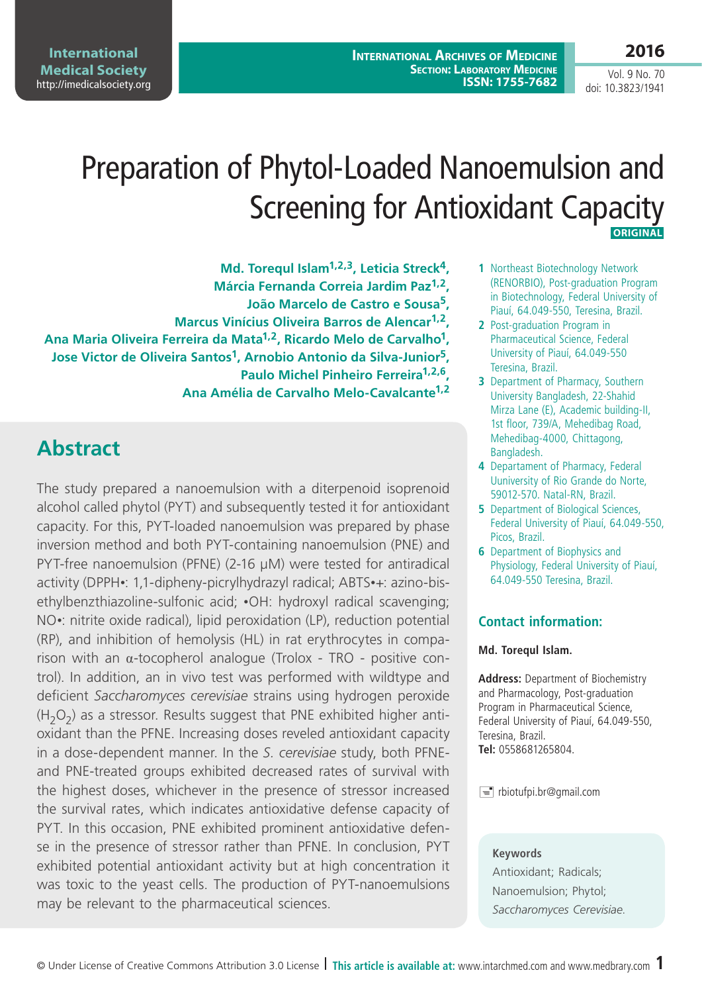**2016**

Vol. 9 No. 70 doi: 10.3823/1941

# Preparation of Phytol-Loaded Nanoemulsion and Screening for Antioxidant Capacity  **Original**

**Md. Torequl Islam1,2,3, Leticia Streck4, Márcia Fernanda Correia Jardim Paz1,2, João Marcelo de Castro e Sousa5, Marcus Vinícius Oliveira Barros de Alencar1,2, Ana Maria Oliveira Ferreira da Mata1,2, Ricardo Melo de Carvalho1, Jose Victor de Oliveira Santos1, Arnobio Antonio da Silva-Junior5, Paulo Michel Pinheiro Ferreira1,2,6, Ana Amélia de Carvalho Melo-Cavalcante1,2**

# **Abstract**

The study prepared a nanoemulsion with a diterpenoid isoprenoid alcohol called phytol (PYT) and subsequently tested it for antioxidant capacity. For this, PYT-loaded nanoemulsion was prepared by phase inversion method and both PYT-containing nanoemulsion (PNE) and PYT-free nanoemulsion (PFNE) (2-16 µM) were tested for antiradical activity (DPPH•: 1,1-dipheny-picrylhydrazyl radical; ABTS•+: azino-bisethylbenzthiazoline-sulfonic acid; •OH: hydroxyl radical scavenging; NO•: nitrite oxide radical), lipid peroxidation (LP), reduction potential (RP), and inhibition of hemolysis (HL) in rat erythrocytes in comparison with an  $α$ -tocopherol analogue (Trolox - TRO - positive control). In addition, an in vivo test was performed with wildtype and deficient *Saccharomyces cerevisiae* strains using hydrogen peroxide  $(H<sub>2</sub>O<sub>2</sub>)$  as a stressor. Results suggest that PNE exhibited higher antioxidant than the PFNE. Increasing doses reveled antioxidant capacity in a dose-dependent manner. In the *S. cerevisiae* study, both PFNEand PNE-treated groups exhibited decreased rates of survival with the highest doses, whichever in the presence of stressor increased the survival rates, which indicates antioxidative defense capacity of PYT. In this occasion, PNE exhibited prominent antioxidative defense in the presence of stressor rather than PFNE. In conclusion, PYT exhibited potential antioxidant activity but at high concentration it was toxic to the yeast cells. The production of PYT-nanoemulsions may be relevant to the pharmaceutical sciences.

- **1** Northeast Biotechnology Network (RENORBIO), Post-graduation Program in Biotechnology, Federal University of Piauí, 64.049-550, Teresina, Brazil.
- **2** Post-graduation Program in Pharmaceutical Science, Federal University of Piauí, 64.049-550 Teresina, Brazil.
- **3** Department of Pharmacy, Southern University Bangladesh, 22-Shahid Mirza Lane (E), Academic building-II, 1st floor, 739/A, Mehedibag Road, Mehedibag-4000, Chittagong, Bangladesh.
- **4** Departament of Pharmacy, Federal Uuniversity of Rio Grande do Norte, 59012-570. Natal-RN, Brazil.
- **5** Department of Biological Sciences, Federal University of Piauí, 64.049-550, Picos, Brazil.
- **6** Department of Biophysics and Physiology, Federal University of Piauí, 64.049-550 Teresina, Brazil.

### **Contact information:**

#### **Md. Torequl Islam.**

**Address:** Department of Biochemistry and Pharmacology, Post-graduation Program in Pharmaceutical Science, Federal University of Piauí, 64.049-550, Teresina, Brazil. **Tel:** 0558681265804.

 $\equiv$  rbiotufpi.br@gmail.com

#### **Keywords**

Antioxidant; Radicals; Nanoemulsion; Phytol; *Saccharomyces cerevisiae*.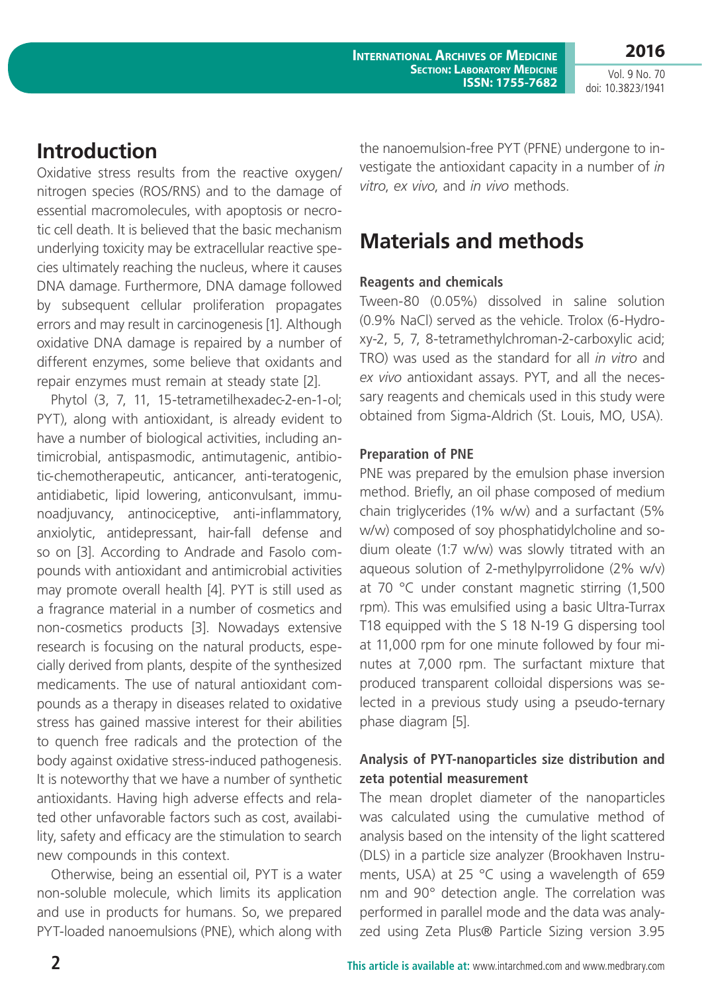**2016** Vol. 9 No. 70

doi: 10.3823/1941

# **Introduction**

Oxidative stress results from the reactive oxygen/ nitrogen species (ROS/RNS) and to the damage of essential macromolecules, with apoptosis or necrotic cell death. It is believed that the basic mechanism underlying toxicity may be extracellular reactive species ultimately reaching the nucleus, where it causes DNA damage. Furthermore, DNA damage followed by subsequent cellular proliferation propagates errors and may result in carcinogenesis [1]. Although oxidative DNA damage is repaired by a number of different enzymes, some believe that oxidants and repair enzymes must remain at steady state [2].

Phytol (3, 7, 11, 15-tetrametilhexadec-2-en-1-ol; PYT), along with antioxidant, is already evident to have a number of biological activities, including antimicrobial, antispasmodic, antimutagenic, antibiotic-chemotherapeutic, anticancer, anti-teratogenic, antidiabetic, lipid lowering, anticonvulsant, immunoadjuvancy, antinociceptive, anti-inflammatory, anxiolytic, antidepressant, hair-fall defense and so on [3]. According to Andrade and Fasolo compounds with antioxidant and antimicrobial activities may promote overall health [4]. PYT is still used as a fragrance material in a number of cosmetics and non-cosmetics products [3]. Nowadays extensive research is focusing on the natural products, especially derived from plants, despite of the synthesized medicaments. The use of natural antioxidant compounds as a therapy in diseases related to oxidative stress has gained massive interest for their abilities to quench free radicals and the protection of the body against oxidative stress-induced pathogenesis. It is noteworthy that we have a number of synthetic antioxidants. Having high adverse effects and related other unfavorable factors such as cost, availability, safety and efficacy are the stimulation to search new compounds in this context.

Otherwise, being an essential oil, PYT is a water non-soluble molecule, which limits its application and use in products for humans. So, we prepared PYT-loaded nanoemulsions (PNE), which along with the nanoemulsion-free PYT (PFNE) undergone to investigate the antioxidant capacity in a number of *in vitro*, *ex vivo*, and *in vivo* methods.

# **Materials and methods**

# **Reagents and chemicals**

Tween-80 (0.05%) dissolved in saline solution (0.9% NaCl) served as the vehicle. Trolox (6-Hydroxy-2, 5, 7, 8-tetramethylchroman-2-carboxylic acid; TRO) was used as the standard for all *in vitro* and *ex vivo* antioxidant assays. PYT, and all the necessary reagents and chemicals used in this study were obtained from Sigma-Aldrich (St. Louis, MO, USA).

# **Preparation of PNE**

PNE was prepared by the emulsion phase inversion method. Briefly, an oil phase composed of medium chain triglycerides (1% w/w) and a surfactant (5% w/w) composed of soy phosphatidylcholine and sodium oleate (1:7 w/w) was slowly titrated with an aqueous solution of 2-methylpyrrolidone (2% w/v) at 70 °C under constant magnetic stirring (1,500 rpm). This was emulsified using a basic Ultra-Turrax T18 equipped with the S 18 N-19 G dispersing tool at 11,000 rpm for one minute followed by four minutes at 7,000 rpm. The surfactant mixture that produced transparent colloidal dispersions was selected in a previous study using a pseudo-ternary phase diagram [5].

# **Analysis of PYT-nanoparticles size distribution and zeta potential measurement**

The mean droplet diameter of the nanoparticles was calculated using the cumulative method of analysis based on the intensity of the light scattered (DLS) in a particle size analyzer (Brookhaven Instruments, USA) at 25 °C using a wavelength of 659 nm and 90° detection angle. The correlation was performed in parallel mode and the data was analyzed using Zeta Plus® Particle Sizing version 3.95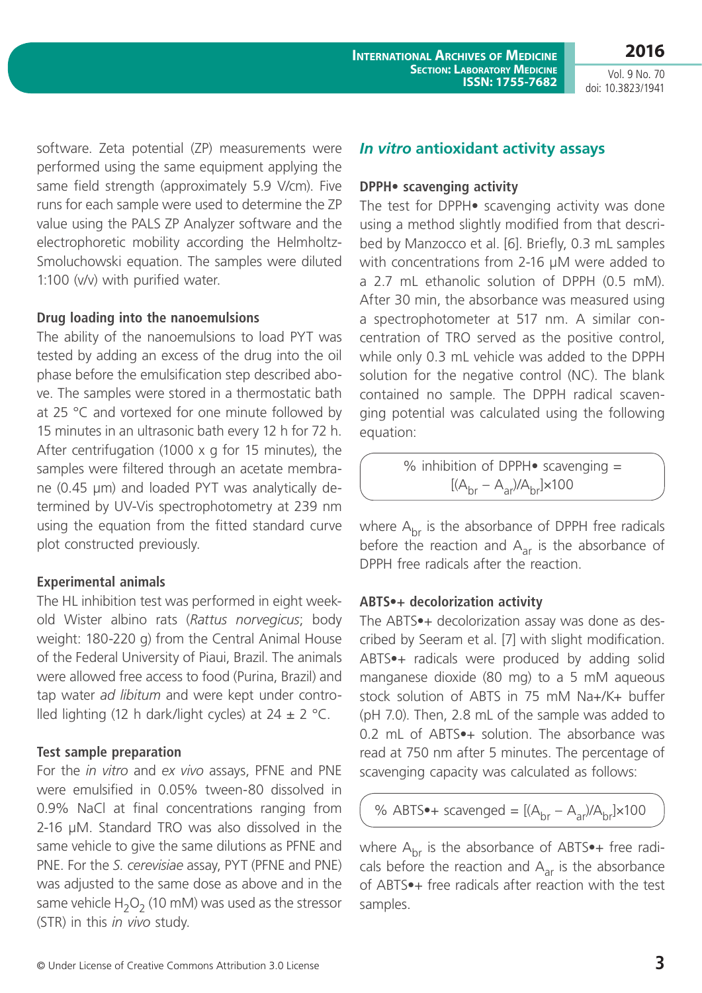**2016** Vol. 9 No. 70

doi: 10.3823/1941

software. Zeta potential (ZP) measurements were performed using the same equipment applying the same field strength (approximately 5.9 V/cm). Five runs for each sample were used to determine the ZP value using the PALS ZP Analyzer software and the electrophoretic mobility according the Helmholtz-Smoluchowski equation. The samples were diluted 1:100 (v/v) with purified water.

### **Drug loading into the nanoemulsions**

The ability of the nanoemulsions to load PYT was tested by adding an excess of the drug into the oil phase before the emulsification step described above. The samples were stored in a thermostatic bath at 25 °C and vortexed for one minute followed by 15 minutes in an ultrasonic bath every 12 h for 72 h. After centrifugation (1000 x g for 15 minutes), the samples were filtered through an acetate membrane (0.45 µm) and loaded PYT was analytically determined by UV-Vis spectrophotometry at 239 nm using the equation from the fitted standard curve plot constructed previously.

# **Experimental animals**

The HL inhibition test was performed in eight weekold Wister albino rats (*Rattus norvegicus*; body weight: 180-220 g) from the Central Animal House of the Federal University of Piaui, Brazil. The animals were allowed free access to food (Purina, Brazil) and tap water *ad libitum* and were kept under controlled lighting (12 h dark/light cycles) at  $24 \pm 2$  °C.

# **Test sample preparation**

For the *in vitro* and *ex vivo* assays, PFNE and PNE were emulsified in 0.05% tween-80 dissolved in 0.9% NaCl at final concentrations ranging from 2-16 µM. Standard TRO was also dissolved in the same vehicle to give the same dilutions as PFNE and PNE. For the *S. cerevisiae* assay, PYT (PFNE and PNE) was adjusted to the same dose as above and in the same vehicle  $H_2O_2$  (10 mM) was used as the stressor (STR) in this *in vivo* study.

### *In vitro* **antioxidant activity assays**

#### **DPPH• scavenging activity**

The test for DPPH• scavenging activity was done using a method slightly modified from that described by Manzocco et al. [6]. Briefly, 0.3 mL samples with concentrations from 2-16 uM were added to a 2.7 mL ethanolic solution of DPPH (0.5 mM). After 30 min, the absorbance was measured using a spectrophotometer at 517 nm. A similar concentration of TRO served as the positive control, while only 0.3 mL vehicle was added to the DPPH solution for the negative control (NC). The blank contained no sample. The DPPH radical scavenging potential was calculated using the following equation:

> % inhibition of DPPH• scavenging =  $[(A<sub>hr</sub> - A<sub>ar</sub>)/A<sub>hr</sub>] \times 100$

where  $A_{\text{br}}$  is the absorbance of DPPH free radicals before the reaction and  $A_{ar}$  is the absorbance of DPPH free radicals after the reaction.

# **ABTS•+ decolorization activity**

The ABTS•+ decolorization assay was done as described by Seeram et al. [7] with slight modification. ABTS•+ radicals were produced by adding solid manganese dioxide (80 mg) to a 5 mM aqueous stock solution of ABTS in 75 mM Na+/K+ buffer (pH 7.0). Then, 2.8 mL of the sample was added to 0.2 mL of ABTS•+ solution. The absorbance was read at 750 nm after 5 minutes. The percentage of scavenging capacity was calculated as follows:

% ABTS $\bullet$ + scavenged =  $[(A<sub>br</sub> - A<sub>ar</sub>)/A<sub>br</sub>] \times 100$ 

where  $A<sub>br</sub>$  is the absorbance of ABTS $\bullet$ + free radicals before the reaction and  $A<sub>ar</sub>$  is the absorbance of ABTS•+ free radicals after reaction with the test samples.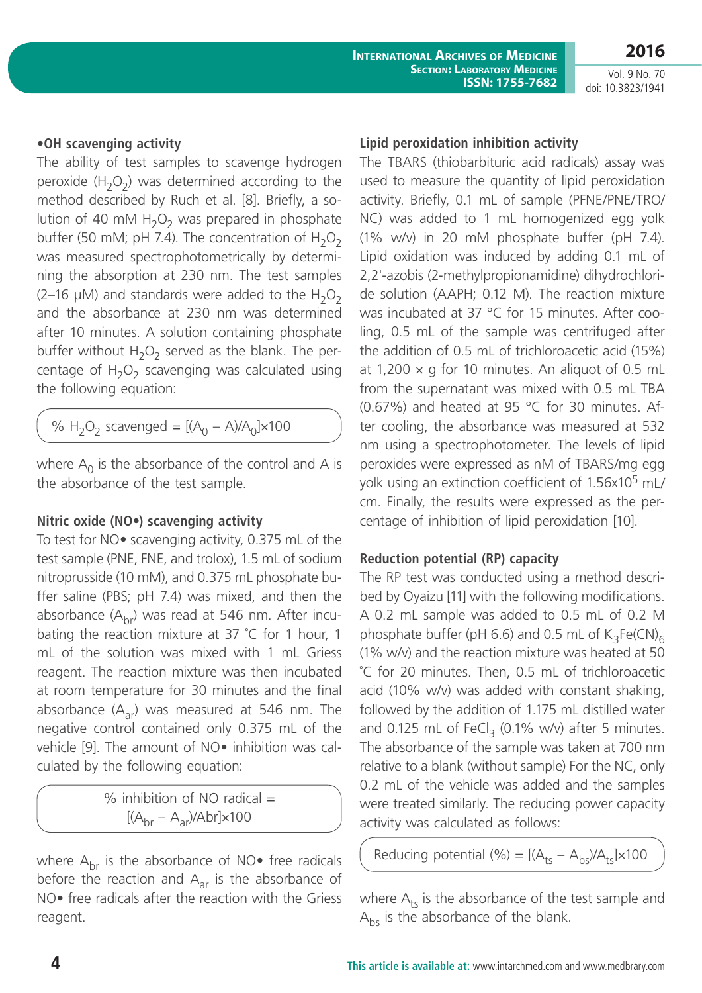**2016**

Vol. 9 No. 70 doi: 10.3823/1941

### **•OH scavenging activity**

The ability of test samples to scavenge hydrogen peroxide  $(H_2O_2)$  was determined according to the method described by Ruch et al. [8]. Briefly, a solution of 40 mM  $H_2O_2$  was prepared in phosphate buffer (50 mM; pH 7.4). The concentration of  $H_2O_2$ was measured spectrophotometrically by determining the absorption at 230 nm. The test samples (2-16  $\mu$ M) and standards were added to the H<sub>2</sub>O<sub>2</sub> and the absorbance at 230 nm was determined after 10 minutes. A solution containing phosphate buffer without  $H_2O_2$  served as the blank. The percentage of  $H_2O_2$  scavenging was calculated using the following equation:

%  $H_2O_2$  scavenged =  $[(A_0 - A)/A_0] \times 100$ 

where  $A_0$  is the absorbance of the control and A is the absorbance of the test sample.

### **Nitric oxide (NO•) scavenging activity**

To test for NO• scavenging activity, 0.375 mL of the test sample (PNE, FNE, and trolox), 1.5 mL of sodium nitroprusside (10 mM), and 0.375 mL phosphate buffer saline (PBS; pH 7.4) was mixed, and then the absorbance  $(A<sub>br</sub>)$  was read at 546 nm. After incubating the reaction mixture at 37 ˚C for 1 hour, 1 mL of the solution was mixed with 1 mL Griess reagent. The reaction mixture was then incubated at room temperature for 30 minutes and the final absorbance  $(A_{ar})$  was measured at 546 nm. The negative control contained only 0.375 mL of the vehicle [9]. The amount of NO• inhibition was calculated by the following equation:

> % inhibition of NO radical  $=$  $[(A<sub>br</sub> - A<sub>ar</sub>)/Abr] \times 100$

where  $A_{\rm br}$  is the absorbance of NO $\bullet$  free radicals before the reaction and  $A_{ar}$  is the absorbance of NO• free radicals after the reaction with the Griess reagent.

#### **Lipid peroxidation inhibition activity**

The TBARS (thiobarbituric acid radicals) assay was used to measure the quantity of lipid peroxidation activity. Briefly, 0.1 mL of sample (PFNE/PNE/TRO/ NC) was added to 1 mL homogenized egg yolk (1% w/v) in 20 mM phosphate buffer (pH 7.4). Lipid oxidation was induced by adding 0.1 mL of 2,2'-azobis (2-methylpropionamidine) dihydrochloride solution (AAPH; 0.12 M). The reaction mixture was incubated at 37 °C for 15 minutes. After cooling, 0.5 mL of the sample was centrifuged after the addition of 0.5 mL of trichloroacetic acid (15%) at 1,200  $\times$  g for 10 minutes. An aliquot of 0.5 mL from the supernatant was mixed with 0.5 mL TBA (0.67%) and heated at 95 °C for 30 minutes. After cooling, the absorbance was measured at 532 nm using a spectrophotometer. The levels of lipid peroxides were expressed as nM of TBARS/mg egg yolk using an extinction coefficient of  $1.56x10^5$  mL/ cm. Finally, the results were expressed as the percentage of inhibition of lipid peroxidation [10].

### **Reduction potential (RP) capacity**

The RP test was conducted using a method described by Oyaizu [11] with the following modifications. A 0.2 mL sample was added to 0.5 mL of 0.2 M phosphate buffer (pH 6.6) and 0.5 mL of  $K_3Fe(CN)_{6}$ (1% w/v) and the reaction mixture was heated at 50 ˚C for 20 minutes. Then, 0.5 mL of trichloroacetic acid (10% w/v) was added with constant shaking, followed by the addition of 1.175 mL distilled water and 0.125 mL of FeCl<sub>3</sub> (0.1% w/v) after 5 minutes. The absorbance of the sample was taken at 700 nm relative to a blank (without sample) For the NC, only 0.2 mL of the vehicle was added and the samples were treated similarly. The reducing power capacity activity was calculated as follows:

Reducing potential (%) =  $[(A<sub>ts</sub> - A<sub>bs</sub>)/A<sub>ts</sub>] \times 100$ 

where  $A_{ts}$  is the absorbance of the test sample and  $A_{bs}$  is the absorbance of the blank.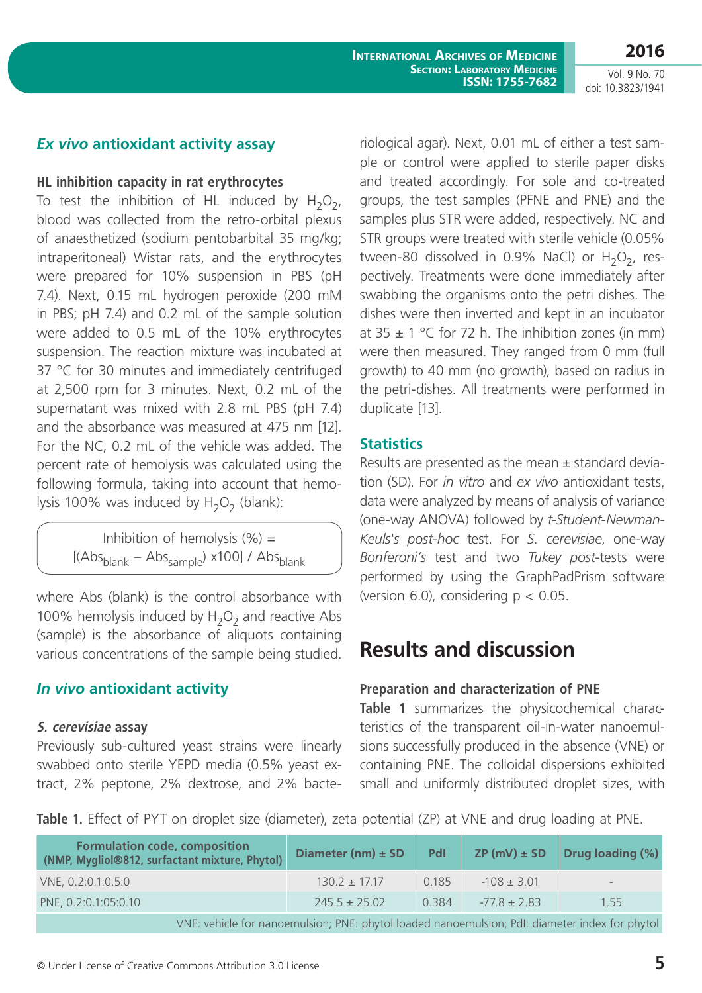**2016** Vol. 9 No. 70

doi: 10.3823/1941

# *Ex vivo* **antioxidant activity assay**

### **HL inhibition capacity in rat erythrocytes**

To test the inhibition of HL induced by  $H_2O_2$ , blood was collected from the retro-orbital plexus of anaesthetized (sodium pentobarbital 35 mg/kg; intraperitoneal) Wistar rats, and the erythrocytes were prepared for 10% suspension in PBS (pH 7.4). Next, 0.15 mL hydrogen peroxide (200 mM in PBS; pH 7.4) and 0.2 mL of the sample solution were added to 0.5 mL of the 10% erythrocytes suspension. The reaction mixture was incubated at 37 °C for 30 minutes and immediately centrifuged at 2,500 rpm for 3 minutes. Next, 0.2 mL of the supernatant was mixed with 2.8 mL PBS (pH 7.4) and the absorbance was measured at 475 nm [12]. For the NC, 0.2 mL of the vehicle was added. The percent rate of hemolysis was calculated using the following formula, taking into account that hemolysis 100% was induced by  $H_2O_2$  (blank):

> Inhibition of hemolysis  $(\%) =$  $[(\text{Abs}_{\text{blank}} - \text{Abs}_{\text{sample}}) \times 100] / \text{Abs}_{\text{blank}}]$

where Abs (blank) is the control absorbance with 100% hemolysis induced by  $H_2O_2$  and reactive Abs (sample) is the absorbance of aliquots containing various concentrations of the sample being studied.

# *In vivo* **antioxidant activity**

### **S. cerevisiae assay**

Previously sub-cultured yeast strains were linearly swabbed onto sterile YEPD media (0.5% yeast extract, 2% peptone, 2% dextrose, and 2% bacteriological agar). Next, 0.01 mL of either a test sample or control were applied to sterile paper disks and treated accordingly. For sole and co-treated groups, the test samples (PFNE and PNE) and the samples plus STR were added, respectively. NC and STR groups were treated with sterile vehicle (0.05% tween-80 dissolved in 0.9% NaCl) or  $H_2O_2$ , respectively. Treatments were done immediately after swabbing the organisms onto the petri dishes. The dishes were then inverted and kept in an incubator at  $35 \pm 1$  °C for 72 h. The inhibition zones (in mm) were then measured. They ranged from 0 mm (full growth) to 40 mm (no growth), based on radius in the petri-dishes. All treatments were performed in duplicate [13].

# **Statistics**

Results are presented as the mean  $\pm$  standard deviation (SD). For *in vitro* and *ex vivo* antioxidant tests, data were analyzed by means of analysis of variance (one-way ANOVA) followed by *t-Student-Newman-Keuls's post-hoc* test. For *S. cerevisiae*, one-way *Bonferoni's* test and two *Tukey post-*tests were performed by using the GraphPadPrism software (version 6.0), considering  $p < 0.05$ .

# **Results and discussion**

# **Preparation and characterization of PNE**

**Table 1** summarizes the physicochemical characteristics of the transparent oil-in-water nanoemulsions successfully produced in the absence (VNE) or containing PNE. The colloidal dispersions exhibited small and uniformly distributed droplet sizes, with

**Table 1.** Effect of PYT on droplet size (diameter), zeta potential (ZP) at VNE and drug loading at PNE.

| <b>Formulation code, composition</b><br>(NMP, Mygliol®812, surfactant mixture, Phytol)         | Diameter (nm) $\pm$ SD | Pdl   | $ZP(mV) \pm SD$  | <b>Drug loading (%)</b> |  |  |  |
|------------------------------------------------------------------------------------------------|------------------------|-------|------------------|-------------------------|--|--|--|
| VNE, 0.2:0.1:0.5:0                                                                             | $130.2 \pm 17.17$      | 0.185 | $-108 \pm 3.01$  | $\qquad \qquad -$       |  |  |  |
| PNE, 0.2:0.1:05:0.10                                                                           | $245.5 \pm 25.02$      | 0.384 | $-77.8 \pm 2.83$ | 1.55                    |  |  |  |
| VNE: vehicle for nanoemulsion; PNE: phytol loaded nanoemulsion; PdI: diameter index for phytol |                        |       |                  |                         |  |  |  |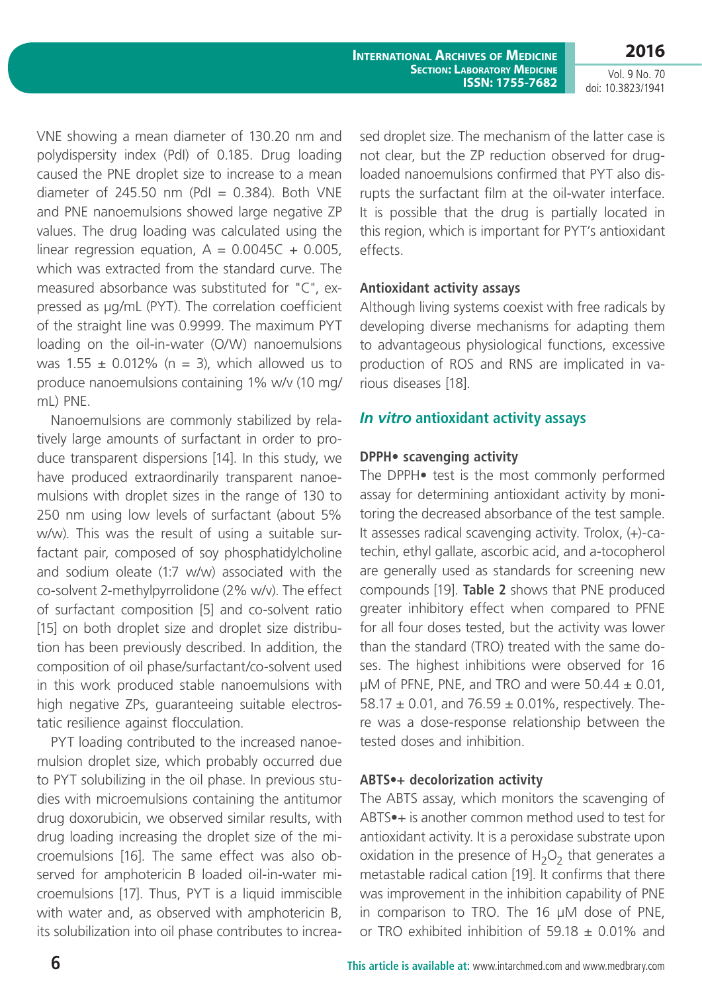**2016** Vol. 9 No. 70

doi: 10.3823/1941

VNE showing a mean diameter of 130.20 nm and polydispersity index (PdI) of 0.185. Drug loading caused the PNE droplet size to increase to a mean diameter of 245.50 nm (PdI =  $0.384$ ). Both VNE and PNE nanoemulsions showed large negative ZP values. The drug loading was calculated using the linear regression equation,  $A = 0.0045C + 0.005$ , which was extracted from the standard curve. The measured absorbance was substituted for "C", expressed as µg/mL (PYT). The correlation coefficient of the straight line was 0.9999. The maximum PYT loading on the oil-in-water (O/W) nanoemulsions was  $1.55 \pm 0.012\%$  (n = 3), which allowed us to produce nanoemulsions containing 1% w/v (10 mg/ mL) PNE.

Nanoemulsions are commonly stabilized by relatively large amounts of surfactant in order to produce transparent dispersions [14]. In this study, we have produced extraordinarily transparent nanoemulsions with droplet sizes in the range of 130 to 250 nm using low levels of surfactant (about 5% w/w). This was the result of using a suitable surfactant pair, composed of soy phosphatidylcholine and sodium oleate (1:7 w/w) associated with the co-solvent 2-methylpyrrolidone (2% w/v). The effect of surfactant composition [5] and co-solvent ratio [15] on both droplet size and droplet size distribution has been previously described. In addition, the composition of oil phase/surfactant/co-solvent used in this work produced stable nanoemulsions with high negative ZPs, guaranteeing suitable electrostatic resilience against flocculation.

PYT loading contributed to the increased nanoemulsion droplet size, which probably occurred due to PYT solubilizing in the oil phase. In previous studies with microemulsions containing the antitumor drug doxorubicin, we observed similar results, with drug loading increasing the droplet size of the microemulsions [16]. The same effect was also observed for amphotericin B loaded oil-in-water microemulsions [17]. Thus, PYT is a liquid immiscible with water and, as observed with amphotericin B, its solubilization into oil phase contributes to increased droplet size. The mechanism of the latter case is not clear, but the ZP reduction observed for drugloaded nanoemulsions confirmed that PYT also disrupts the surfactant film at the oil-water interface. It is possible that the drug is partially located in this region, which is important for PYT's antioxidant effects.

### **Antioxidant activity assays**

Although living systems coexist with free radicals by developing diverse mechanisms for adapting them to advantageous physiological functions, excessive production of ROS and RNS are implicated in various diseases [18].

### *In vitro* **antioxidant activity assays**

### **DPPH• scavenging activity**

The DPPH• test is the most commonly performed assay for determining antioxidant activity by monitoring the decreased absorbance of the test sample. It assesses radical scavenging activity. Trolox, (+)-catechin, ethyl gallate, ascorbic acid, and a-tocopherol are generally used as standards for screening new compounds [19]. **Table 2** shows that PNE produced greater inhibitory effect when compared to PFNE for all four doses tested, but the activity was lower than the standard (TRO) treated with the same doses. The highest inhibitions were observed for 16  $\mu$ M of PFNE, PNE, and TRO and were 50.44  $\pm$  0.01, 58.17  $\pm$  0.01, and 76.59  $\pm$  0.01%, respectively. There was a dose-response relationship between the tested doses and inhibition.

### **ABTS•+ decolorization activity**

The ABTS assay, which monitors the scavenging of ABTS•+ is another common method used to test for antioxidant activity. It is a peroxidase substrate upon oxidation in the presence of  $H_2O_2$  that generates a metastable radical cation [19]. It confirms that there was improvement in the inhibition capability of PNE in comparison to TRO. The 16 µM dose of PNE, or TRO exhibited inhibition of 59.18  $\pm$  0.01% and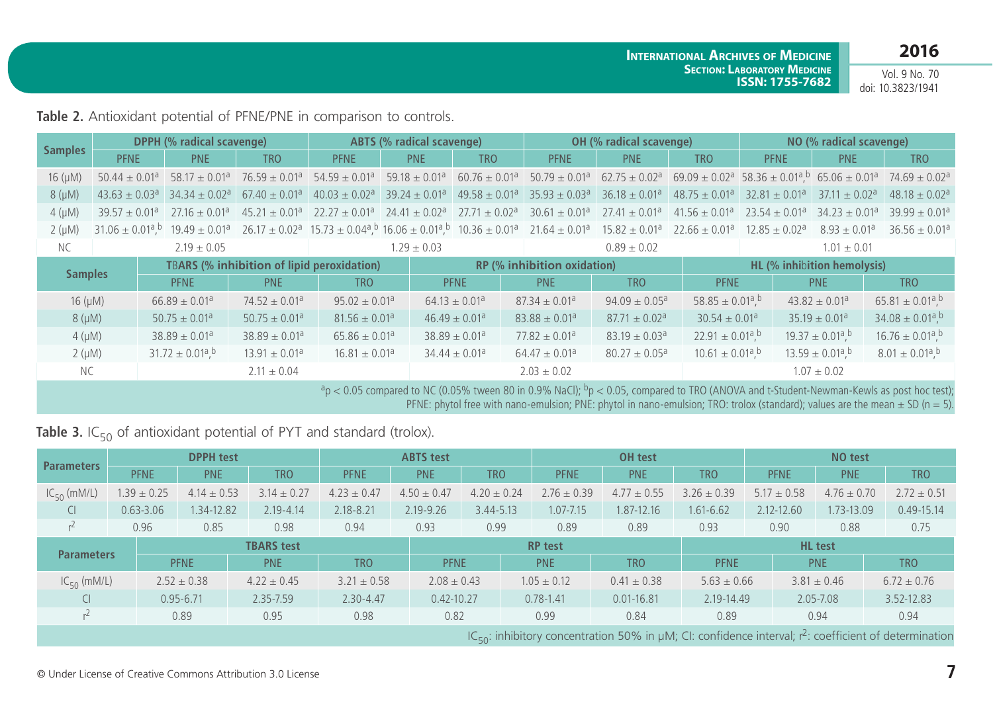Vol. 9 No. 70 doi: 10.3823/1941

**Table 2.** Antioxidant potential of PFNE/PNE in comparison to controls.

| <b>Samples</b>   |                               |                                                   | <b>DPPH (% radical scavenge)</b>                                    |                               |                               | <b>ABTS (% radical scavenge)</b> |                                                  |                                                                                                                                                          | <b>OH</b> (% radical scavenge) | NO (% radical scavenge)                      |                               |                                              |                                                                                                                      |  |
|------------------|-------------------------------|---------------------------------------------------|---------------------------------------------------------------------|-------------------------------|-------------------------------|----------------------------------|--------------------------------------------------|----------------------------------------------------------------------------------------------------------------------------------------------------------|--------------------------------|----------------------------------------------|-------------------------------|----------------------------------------------|----------------------------------------------------------------------------------------------------------------------|--|
|                  | <b>PFNE</b>                   |                                                   | <b>PNE</b>                                                          | <b>TRO</b>                    | <b>PFNE</b>                   | <b>PNE</b>                       | <b>TRO</b>                                       | <b>PFNE</b>                                                                                                                                              | <b>PNE</b>                     | <b>TRO</b>                                   | <b>PFNE</b>                   | <b>PNE</b>                                   | <b>TRO</b>                                                                                                           |  |
| $16 \, (\mu M)$  | $50.44 \pm 0.01$ <sup>a</sup> |                                                   | $58.17 \pm 0.01$ <sup>a</sup>                                       | $76.59 \pm 0.01$ <sup>a</sup> | $54.59 \pm 0.01$ <sup>a</sup> | $59.18 \pm 0.01$ <sup>a</sup>    |                                                  | $60.76 \pm 0.01^a$ 50.79 $\pm$ 0.01 <sup>a</sup> 62.75 $\pm$ 0.02 <sup>a</sup>                                                                           |                                |                                              |                               |                                              | $69.09 \pm 0.02^{\circ}$ 58.36 $\pm$ 0.01 <sup>a</sup> , 65.06 $\pm$ 0.01 <sup>a</sup> 74.69 $\pm$ 0.02 <sup>a</sup> |  |
| $8(\mu M)$       | $43.63 \pm 0.03$ <sup>a</sup> |                                                   | $34.34 \pm 0.02$ <sup>a</sup>                                       | $67.40 \pm 0.01$ <sup>a</sup> | $40.03 \pm 0.02$ <sup>a</sup> | $39.24 \pm 0.01^a$               |                                                  | $49.58 \pm 0.01^a$ 35.93 $\pm$ 0.03 <sup>a</sup>                                                                                                         | $36.18 \pm 0.01$ <sup>a</sup>  | $48.75 \pm 0.01$ <sup>a</sup>                | $32.81 \pm 0.01$ <sup>a</sup> | $37.11 \pm 0.02^a$                           | $48.18 \pm 0.02$ <sup>a</sup>                                                                                        |  |
| $4 \text{ (µM)}$ | $39.57 \pm 0.01^a$            |                                                   | $27.16 \pm 0.01$ <sup>a</sup>                                       | $45.21 \pm 0.01$ <sup>a</sup> | $22.27 \pm 0.01$ <sup>a</sup> |                                  | $24.41 \pm 0.02^a$ 27.71 $\pm$ 0.02 <sup>a</sup> | $30.61 \pm 0.01$ <sup>a</sup>                                                                                                                            | $27.41 \pm 0.01$ <sup>a</sup>  | $41.56 \pm 0.01$ <sup>a</sup>                | $23.54 \pm 0.01^a$            | $34.23 \pm 0.01^a$                           | $39.99 + 0.01a$                                                                                                      |  |
| $2(\mu M)$       |                               |                                                   | $31.06 \pm 0.01^{\text{a}}$ , $^{10}$ 19.49 $\pm$ 0.01 <sup>a</sup> |                               |                               |                                  |                                                  | $26.17 \pm 0.02^{\circ}$ 15.73 $\pm$ 0.04 <sup>a</sup> , b 16.06 $\pm$ 0.01 <sup>a</sup> , b 10.36 $\pm$ 0.01 <sup>a</sup> 21.64 $\pm$ 0.01 <sup>a</sup> | $15.82 \pm 0.01$ <sup>a</sup>  | $22.66 \pm 0.01$ <sup>a</sup>                | $12.85 \pm 0.02$ <sup>a</sup> | $8.93 \pm 0.01$ <sup>a</sup>                 | $36.56 + 0.01a$                                                                                                      |  |
| <b>NC</b>        |                               |                                                   | $2.19 \pm 0.05$                                                     |                               |                               | $1.29 \pm 0.03$                  |                                                  |                                                                                                                                                          | $0.89 \pm 0.02$                |                                              |                               | $1.01 \pm 0.01$                              |                                                                                                                      |  |
|                  |                               | <b>TBARS (% inhibition of lipid peroxidation)</b> |                                                                     |                               |                               |                                  | <b>RP (% inhibition oxidation)</b>               |                                                                                                                                                          |                                |                                              | HL (% inhibition hemolysis)   |                                              |                                                                                                                      |  |
| <b>Samples</b>   |                               |                                                   | <b>PFNE</b>                                                         | <b>PNE</b>                    | <b>TRO</b>                    |                                  | <b>PFNE</b>                                      | <b>PNE</b>                                                                                                                                               | <b>TRO</b>                     | <b>PFNE</b>                                  |                               | <b>PNE</b>                                   | TRO.                                                                                                                 |  |
| $16 \, (\mu M)$  |                               |                                                   | $66.89 \pm 0.01$ <sup>a</sup>                                       | $74.52 \pm 0.01$ <sup>a</sup> | $95.02 \pm 0.01$ <sup>a</sup> |                                  | $64.13 \pm 0.01$ <sup>a</sup>                    | $87.34 \pm 0.01$ <sup>a</sup>                                                                                                                            | $94.09 \pm 0.05^a$             | $58.85 \pm 0.01$ <sup>a</sup> , <sup>b</sup> |                               | $43.82 \pm 0.01$ <sup>a</sup>                | $65.81 \pm 0.01$ <sup>a</sup> , <sup>b</sup>                                                                         |  |
| $8(\mu M)$       |                               |                                                   | $50.75 \pm 0.01$ <sup>a</sup>                                       | $50.75 \pm 0.01$ <sup>a</sup> | $81.56 \pm 0.01$ <sup>a</sup> |                                  | $46.49 \pm 0.01$ <sup>a</sup>                    | $83.88 \pm 0.01$ <sup>a</sup>                                                                                                                            | $87.71 \pm 0.02$ <sup>a</sup>  | $30.54 \pm 0.01$ <sup>a</sup>                |                               | $35.19 \pm 0.01^a$                           | $34.08 \pm 0.01$ <sup>a</sup> , <sup>b</sup>                                                                         |  |
| $4 \text{ (µM)}$ |                               |                                                   | $38.89 \pm 0.01$ <sup>a</sup>                                       | $38.89 \pm 0.01$ <sup>a</sup> | $65.86 \pm 0.01$ <sup>a</sup> |                                  | $38.89 \pm 0.01$ <sup>a</sup>                    | $77.82 \pm 0.01$ <sup>a</sup>                                                                                                                            | $83.19 \pm 0.03$ <sup>a</sup>  | $22.91 \pm 0.01$ <sup>a</sup> , <sup>b</sup> |                               | $19.37 \pm 0.01$ <sup>a b</sup>              | $16.76 \pm 0.01$ <sup>a</sup> , <sup>b</sup>                                                                         |  |
| $2(\mu M)$       |                               |                                                   | $31.72 \pm 0.01$ <sup>a</sup> , <sup>b</sup>                        | $13.91 \pm 0.01$ <sup>a</sup> | $16.81 \pm 0.01$ <sup>a</sup> |                                  | $34.44 \pm 0.01^a$                               | $64.47 \pm 0.01$ <sup>a</sup>                                                                                                                            | $80.27 \pm 0.05$ <sup>a</sup>  | $10.61 \pm 0.01$ <sup>a</sup> , <sup>b</sup> |                               | $13.59 \pm 0.01$ <sup>a</sup> , <sup>b</sup> | $8.01 \pm 0.01$ <sup>a</sup> , <sup>b</sup>                                                                          |  |
| NC.              |                               |                                                   |                                                                     | $2.11 \pm 0.04$               |                               |                                  |                                                  | $2.03 \pm 0.02$                                                                                                                                          |                                |                                              |                               | $1.07 \pm 0.02$                              |                                                                                                                      |  |
|                  |                               |                                                   |                                                                     |                               |                               |                                  |                                                  | $a_0$ / 0.5 compared to NC (0.05% tween 80 in 0.9% NaCl); $b_0$ / 0.5 compared to TRO (ANOVA and t-Student-Newman-Kewls as nost bor test);               |                                |                                              |                               |                                              |                                                                                                                      |  |

 $<$  0.05 compared to NC (0.05% tween 80 in 0.9% NaCl); 'p  $<$  0.05, compared to TRO (ANOVA and t-Student-Newman-Kewls as post hoc test); PFNE: phytol free with nano-emulsion; PNE: phytol in nano-emulsion; TRO: trolox (standard); values are the mean  $\pm$  SD (n = 5).

**Table 3.** IC<sub>50</sub> of antioxidant potential of PYT and standard (trolox).

| <b>Parameters</b>                                                                                                           |      |                 | <b>DPPH</b> test |                   |                 | <b>ABTS</b> test |                 |                 | OH test         |                 |                 | NO test         |                 |  |
|-----------------------------------------------------------------------------------------------------------------------------|------|-----------------|------------------|-------------------|-----------------|------------------|-----------------|-----------------|-----------------|-----------------|-----------------|-----------------|-----------------|--|
|                                                                                                                             |      | <b>PFNE</b>     | <b>PNE</b>       | <b>TRO</b>        | <b>PFNE</b>     | <b>PNE</b>       | <b>TRO</b>      | <b>PFNE</b>     | <b>PNE</b>      | <b>TRO</b>      | <b>PFNE</b>     | <b>PNE</b>      | <b>TRO</b>      |  |
| $IC_{50}$ (mM/L)                                                                                                            |      | $1.39 \pm 0.25$ | $4.14 \pm 0.53$  | $3.14 \pm 0.27$   | $4.23 \pm 0.47$ | $4.50 \pm 0.47$  | $4.20 \pm 0.24$ | $2.76 \pm 0.39$ | $4.77 \pm 0.55$ | $3.26 \pm 0.39$ | $5.17 \pm 0.58$ | $4.76 \pm 0.70$ | $2.72 \pm 0.51$ |  |
| Cl                                                                                                                          |      | $0.63 - 3.06$   | 1.34-12.82       | $2.19 - 4.14$     | $2.18 - 8.21$   | 2.19-9.26        | $3.44 - 5.13$   | $1.07 - 7.15$   | 1.87-12.16      | $1.61 - 6.62$   | 2.12-12.60      | 1.73-13.09      | $0.49 - 15.14$  |  |
| r <sup>∠</sup>                                                                                                              | 0.96 |                 | 0.85             | 0.98              | 0.94            | 0.93             | 0.99            | 0.89            | 0.89            | 0.93            | 0.90            | 0.88            | 0.75            |  |
|                                                                                                                             |      |                 |                  | <b>TBARS</b> test |                 |                  |                 | <b>RP</b> test  |                 |                 | <b>HL</b> test  |                 |                 |  |
| <b>Parameters</b>                                                                                                           |      |                 | <b>PFNE</b>      | <b>PNE</b>        | <b>TRO</b>      | <b>PFNE</b>      |                 | <b>PNE</b>      | <b>TRO</b>      | <b>PFNE</b>     |                 | <b>PNE</b>      | <b>TRO</b>      |  |
| $IC_{50}$ (mM/L)                                                                                                            |      |                 | $2.52 \pm 0.38$  | $4.22 \pm 0.45$   | $3.21 \pm 0.58$ | $2.08 \pm 0.43$  |                 | $1.05 \pm 0.12$ | $0.41 \pm 0.38$ | $5.63 \pm 0.66$ |                 | $3.81 \pm 0.46$ | $6.72 \pm 0.76$ |  |
| CI                                                                                                                          |      |                 | $0.95 - 6.71$    | 2.35-7.59         | $2.30 - 4.47$   | $0.42 - 10.27$   |                 | $0.78 - 1.41$   | $0.01 - 16.81$  | 2.19-14.49      |                 | 2.05-7.08       | 3.52-12.83      |  |
| r∠                                                                                                                          |      |                 | 0.89             | 0.95              | 0.98            | 0.82             |                 | 0.99            | 0.84            | 0.89            |                 | 0.94            | 0.94            |  |
| $\alpha$ in the set of $\alpha$ $\alpha$ is $\alpha$ and $\alpha$ in the set of $\alpha$ is $\alpha$ in the set of $\alpha$ |      |                 |                  |                   |                 |                  |                 |                 |                 |                 |                 |                 |                 |  |

IC<sub>50</sub>: inhibitory concentration 50% in  $\mu$ M; CI: confidence interval; r<sup>2</sup>: coefficient of determination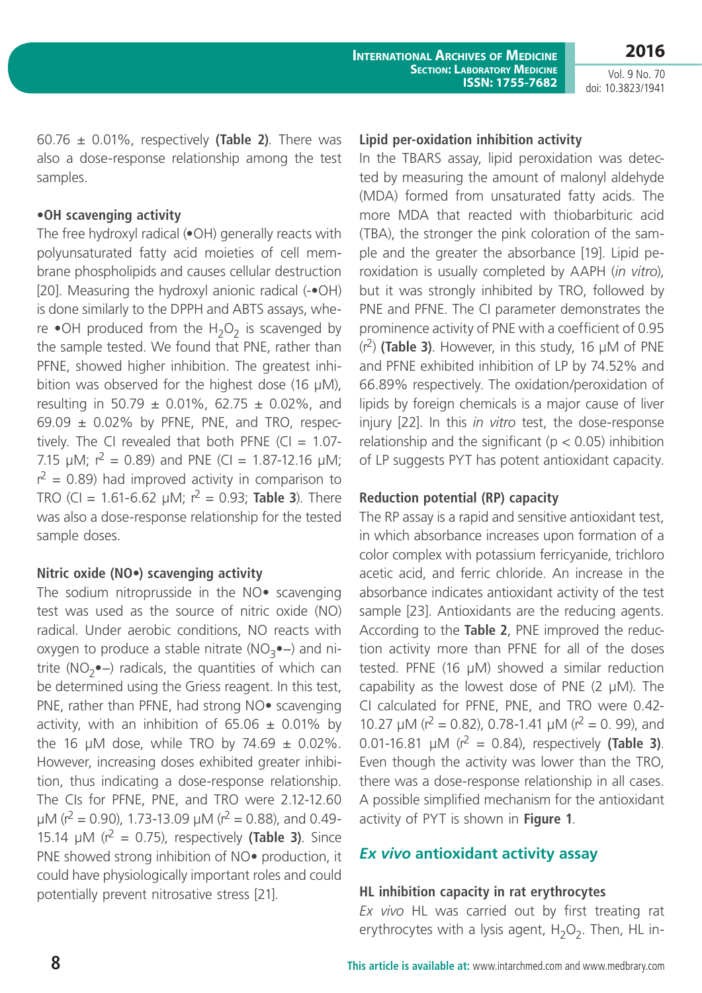60.76 ± 0.01%, respectively **(Table 2)**. There was also a dose-response relationship among the test samples.

### **•OH scavenging activity**

The free hydroxyl radical (•OH) generally reacts with polyunsaturated fatty acid moieties of cell membrane phospholipids and causes cellular destruction [20]. Measuring the hydroxyl anionic radical (-•OH) is done similarly to the DPPH and ABTS assays, where  $\bullet$ OH produced from the H<sub>2</sub>O<sub>2</sub> is scavenged by the sample tested. We found that PNE, rather than PFNE, showed higher inhibition. The greatest inhibition was observed for the highest dose (16  $\mu$ M), resulting in 50.79  $\pm$  0.01%, 62.75  $\pm$  0.02%, and  $69.09 \pm 0.02\%$  by PFNE, PNE, and TRO, respectively. The CI revealed that both PFNE (CI =  $1.07$ -7.15  $\mu$ M;  $r^2 = 0.89$ ) and PNE (CI = 1.87-12.16  $\mu$ M;  $r^2$  = 0.89) had improved activity in comparison to TRO (CI = 1.61-6.62  $\mu$ M;  $r^2$  = 0.93; **Table 3**). There was also a dose-response relationship for the tested sample doses.

# **Nitric oxide (NO•) scavenging activity**

The sodium nitroprusside in the NO• scavenging test was used as the source of nitric oxide (NO) radical. Under aerobic conditions, NO reacts with oxygen to produce a stable nitrate ( $NO<sub>3</sub>$ •–) and nitrite (NO<sub>2</sub>•−) radicals, the quantities of which can be determined using the Griess reagent. In this test, PNE, rather than PFNE, had strong NO• scavenging activity, with an inhibition of  $65.06 \pm 0.01\%$  by the 16 µM dose, while TRO by  $74.69 \pm 0.02\%$ . However, increasing doses exhibited greater inhibition, thus indicating a dose-response relationship. The CIs for PFNE, PNE, and TRO were 2.12-12.60  $\mu$ M (r<sup>2</sup> = 0.90), 1.73-13.09  $\mu$ M (r<sup>2</sup> = 0.88), and 0.49-15.14  $\mu$ M ( $r^2$  = 0.75), respectively (Table 3). Since PNE showed strong inhibition of NO• production, it could have physiologically important roles and could potentially prevent nitrosative stress [21].

### **Lipid per-oxidation inhibition activity**

In the TBARS assay, lipid peroxidation was detected by measuring the amount of malonyl aldehyde (MDA) formed from unsaturated fatty acids. The more MDA that reacted with thiobarbituric acid (TBA), the stronger the pink coloration of the sample and the greater the absorbance [19]. Lipid peroxidation is usually completed by AAPH (*in vitro*), but it was strongly inhibited by TRO, followed by PNE and PFNE. The CI parameter demonstrates the prominence activity of PNE with a coefficient of 0.95  $(r<sup>2</sup>)$  **(Table 3)**. However, in this study, 16  $\mu$ M of PNE and PFNE exhibited inhibition of LP by 74.52% and 66.89% respectively. The oxidation/peroxidation of lipids by foreign chemicals is a major cause of liver injury [22]. In this *in vitro* test, the dose-response relationship and the significant ( $p < 0.05$ ) inhibition of LP suggests PYT has potent antioxidant capacity.

# **Reduction potential (RP) capacity**

The RP assay is a rapid and sensitive antioxidant test, in which absorbance increases upon formation of a color complex with potassium ferricyanide, trichloro acetic acid, and ferric chloride. An increase in the absorbance indicates antioxidant activity of the test sample [23]. Antioxidants are the reducing agents. According to the **Table 2**, PNE improved the reduction activity more than PFNE for all of the doses tested. PFNE (16 µM) showed a similar reduction capability as the lowest dose of PNE  $(2 \mu M)$ . The CI calculated for PFNE, PNE, and TRO were 0.42- 10.27  $\mu$ M ( $r^2$  = 0.82), 0.78-1.41  $\mu$ M ( $r^2$  = 0.99), and 0.01-16.81  $\mu$ M ( $r^2$  = 0.84), respectively (Table 3). Even though the activity was lower than the TRO, there was a dose-response relationship in all cases. A possible simplified mechanism for the antioxidant activity of PYT is shown in **Figure 1**.

# *Ex vivo* **antioxidant activity assay**

# **HL inhibition capacity in rat erythrocytes**

*Ex vivo* HL was carried out by first treating rat erythrocytes with a lysis agent,  $H_2O_2$ . Then, HL in-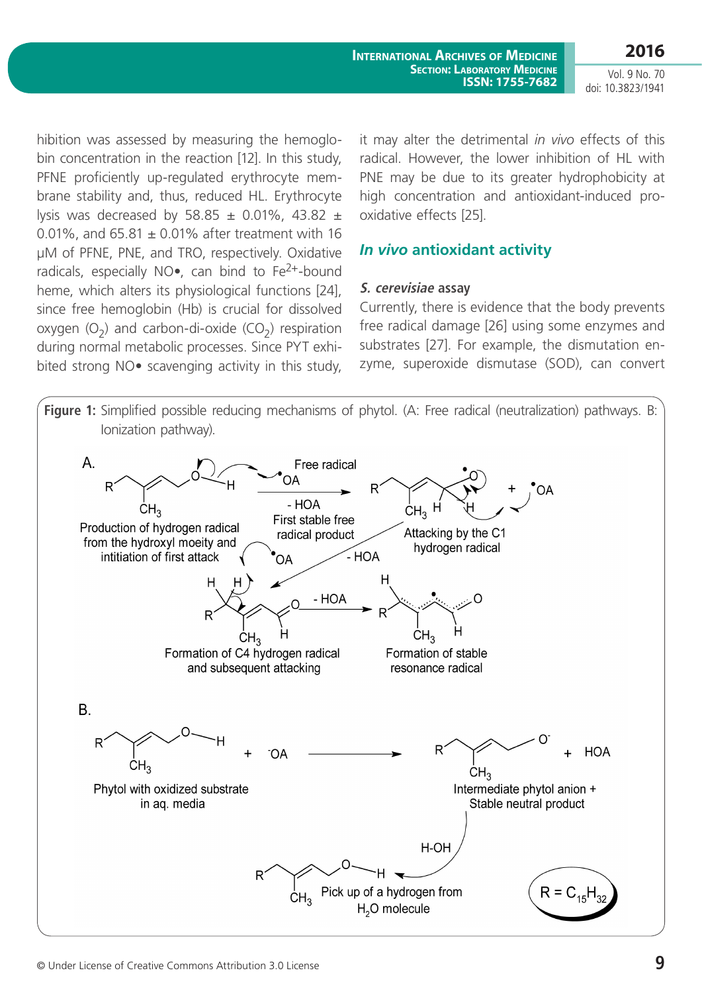hibition was assessed by measuring the hemoglobin concentration in the reaction [12]. In this study, PFNE proficiently up-regulated erythrocyte membrane stability and, thus, reduced HL. Erythrocyte lysis was decreased by 58.85  $\pm$  0.01%, 43.82  $\pm$ 0.01%, and  $65.81 \pm 0.01\%$  after treatment with 16 µM of PFNE, PNE, and TRO, respectively. Oxidative radicals, especially NO $\bullet$ , can bind to Fe<sup>2+</sup>-bound heme, which alters its physiological functions [24], since free hemoglobin (Hb) is crucial for dissolved oxygen  $(O_2)$  and carbon-di-oxide  $(CO_2)$  respiration during normal metabolic processes. Since PYT exhibited strong NO• scavenging activity in this study,

it may alter the detrimental *in vivo* effects of this radical. However, the lower inhibition of HL with PNE may be due to its greater hydrophobicity at high concentration and antioxidant-induced prooxidative effects [25].

# *In vivo* **antioxidant activity**

### **S. cerevisiae assay**

Currently, there is evidence that the body prevents free radical damage [26] using some enzymes and substrates [27]. For example, the dismutation enzyme, superoxide dismutase (SOD), can convert

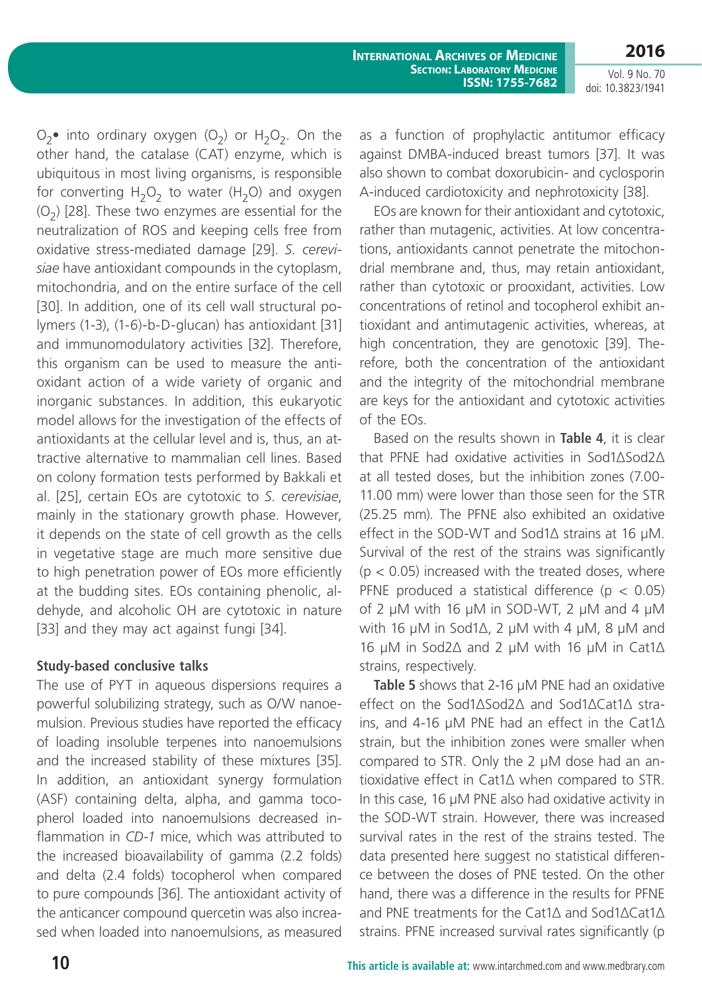$O_2$ • into ordinary oxygen  $(O_2)$  or  $H_2O_2$ . On the other hand, the catalase (CAT) enzyme, which is ubiquitous in most living organisms, is responsible for converting  $H_2O_2$  to water ( $H_2O$ ) and oxygen  $(O<sub>2</sub>)$  [28]. These two enzymes are essential for the neutralization of ROS and keeping cells free from oxidative stress-mediated damage [29]. *S. cerevisiae* have antioxidant compounds in the cytoplasm, mitochondria, and on the entire surface of the cell [30]. In addition, one of its cell wall structural polymers (1-3), (1-6)-b-D-glucan) has antioxidant [31] and immunomodulatory activities [32]. Therefore, this organism can be used to measure the antioxidant action of a wide variety of organic and inorganic substances. In addition, this eukaryotic model allows for the investigation of the effects of antioxidants at the cellular level and is, thus, an attractive alternative to mammalian cell lines. Based on colony formation tests performed by Bakkali et al. [25], certain EOs are cytotoxic to *S. cerevisiae*, mainly in the stationary growth phase. However, it depends on the state of cell growth as the cells in vegetative stage are much more sensitive due to high penetration power of EOs more efficiently at the budding sites. EOs containing phenolic, aldehyde, and alcoholic OH are cytotoxic in nature [33] and they may act against fungi [34].

### **Study-based conclusive talks**

The use of PYT in aqueous dispersions requires a powerful solubilizing strategy, such as O/W nanoemulsion. Previous studies have reported the efficacy of loading insoluble terpenes into nanoemulsions and the increased stability of these mixtures [35]. In addition, an antioxidant synergy formulation (ASF) containing delta, alpha, and gamma tocopherol loaded into nanoemulsions decreased inflammation in *CD-1* mice, which was attributed to the increased bioavailability of gamma (2.2 folds) and delta (2.4 folds) tocopherol when compared to pure compounds [36]. The antioxidant activity of the anticancer compound quercetin was also increased when loaded into nanoemulsions, as measured as a function of prophylactic antitumor efficacy against DMBA-induced breast tumors [37]. It was also shown to combat doxorubicin- and cyclosporin A-induced cardiotoxicity and nephrotoxicity [38].

EOs are known for their antioxidant and cytotoxic, rather than mutagenic, activities. At low concentrations, antioxidants cannot penetrate the mitochondrial membrane and, thus, may retain antioxidant, rather than cytotoxic or prooxidant, activities. Low concentrations of retinol and tocopherol exhibit antioxidant and antimutagenic activities, whereas, at high concentration, they are genotoxic [39]. Therefore, both the concentration of the antioxidant and the integrity of the mitochondrial membrane are keys for the antioxidant and cytotoxic activities of the EOs.

Based on the results shown in **Table 4**, it is clear that PFNE had oxidative activities in Sod1∆Sod2∆ at all tested doses, but the inhibition zones (7.00- 11.00 mm) were lower than those seen for the STR (25.25 mm). The PFNE also exhibited an oxidative effect in the SOD-WT and Sod1∆ strains at 16 µM. Survival of the rest of the strains was significantly  $(p < 0.05)$  increased with the treated doses, where PFNE produced a statistical difference ( $p < 0.05$ ) of 2  $\mu$ M with 16  $\mu$ M in SOD-WT, 2  $\mu$ M and 4  $\mu$ M with 16 µM in Sod1∆, 2 µM with 4 µM, 8 µM and 16 µM in Sod2∆ and 2 µM with 16 µM in Cat1∆ strains, respectively.

**Table 5** shows that 2-16 µM PNE had an oxidative effect on the Sod1∆Sod2∆ and Sod1∆Cat1∆ strains, and 4-16 µM PNE had an effect in the Cat1∆ strain, but the inhibition zones were smaller when compared to STR. Only the 2 µM dose had an antioxidative effect in Cat1∆ when compared to STR. In this case, 16 µM PNE also had oxidative activity in the SOD-WT strain. However, there was increased survival rates in the rest of the strains tested. The data presented here suggest no statistical difference between the doses of PNE tested. On the other hand, there was a difference in the results for PFNE and PNE treatments for the Cat1∆ and Sod1∆Cat1∆ strains. PFNE increased survival rates significantly (p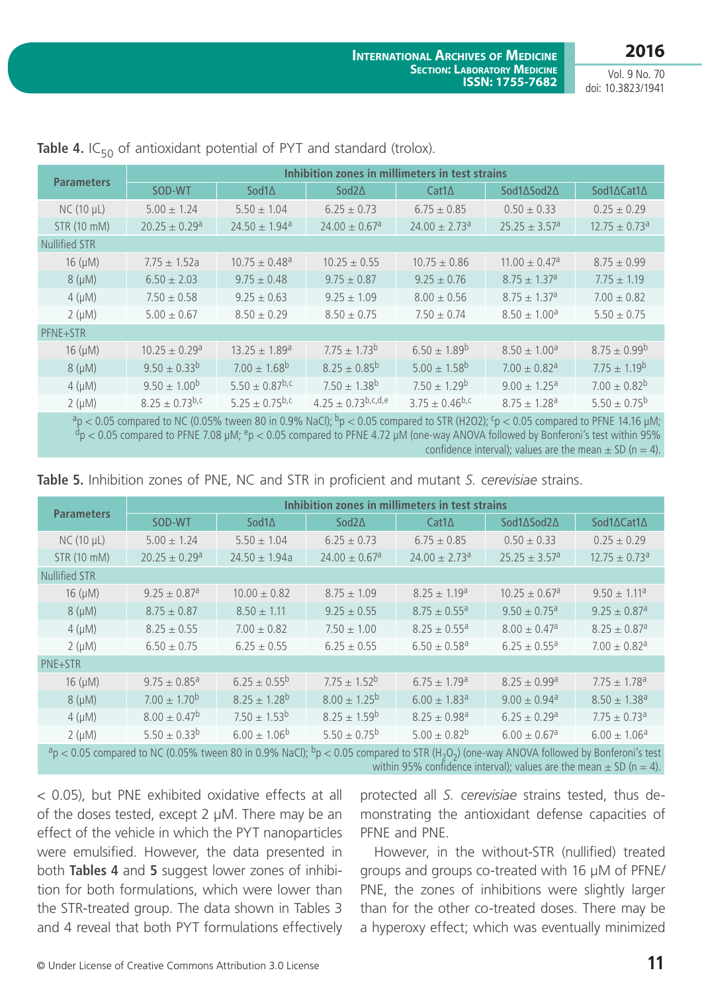| <b>Parameters</b>    | Inhibition zones in millimeters in test strains |                               |                               |                               |                               |                               |  |  |  |  |
|----------------------|-------------------------------------------------|-------------------------------|-------------------------------|-------------------------------|-------------------------------|-------------------------------|--|--|--|--|
|                      | SOD-WT                                          | Sod1 $\Delta$                 | Sod $2\Delta$                 | $Cat1\Delta$                  | Sod1∆Sod2∆                    | Sod1∆Cat1∆                    |  |  |  |  |
| $NC(10 \mu L)$       | $5.00 \pm 1.24$                                 | $5.50 \pm 1.04$               | $6.25 \pm 0.73$               | $6.75 \pm 0.85$               | $0.50 \pm 0.33$               | $0.25 \pm 0.29$               |  |  |  |  |
| STR (10 mM)          | $20.25 \pm 0.29$ <sup>a</sup>                   | $24.50 \pm 1.94$ <sup>a</sup> | $24.00 \pm 0.67$ <sup>a</sup> | $24.00 \pm 2.73$ <sup>a</sup> | $25.25 \pm 3.57^a$            | $12.75 \pm 0.73$ <sup>a</sup> |  |  |  |  |
| <b>Nullified STR</b> |                                                 |                               |                               |                               |                               |                               |  |  |  |  |
| $16 \, (\mu M)$      | $7.75 \pm 1.52a$                                | $10.75 \pm 0.48$ <sup>a</sup> | $10.25 \pm 0.55$              | $10.75 \pm 0.86$              | $11.00 \pm 0.47$ <sup>a</sup> | $8.75 \pm 0.99$               |  |  |  |  |
| $8(\mu M)$           | $6.50 \pm 2.03$                                 | $9.75 \pm 0.48$               | $9.75 \pm 0.87$               | $9.25 \pm 0.76$               | $8.75 \pm 1.37$ <sup>a</sup>  | $7.75 \pm 1.19$               |  |  |  |  |
| $4 \text{ (µM)}$     | $7.50 \pm 0.58$                                 | $9.25 \pm 0.63$               | $9.25 \pm 1.09$               | $8.00 \pm 0.56$               | $8.75 \pm 1.37$ <sup>a</sup>  | $7.00 \pm 0.82$               |  |  |  |  |
| $2(\mu M)$           | $5.00 \pm 0.67$                                 | $8.50 \pm 0.29$               | $8.50 \pm 0.75$               | $7.50 \pm 0.74$               | $8.50 \pm 1.00$ <sup>a</sup>  | $5.50 \pm 0.75$               |  |  |  |  |
| PFNE+STR             |                                                 |                               |                               |                               |                               |                               |  |  |  |  |
| $16 \, (\mu M)$      | $10.25 \pm 0.29$ <sup>a</sup>                   | $13.25 \pm 1.89$ <sup>a</sup> | $7.75 \pm 1.73^b$             | $6.50 \pm 1.89^b$             | $8.50 \pm 1.00$ <sup>a</sup>  | $8.75 \pm 0.99^b$             |  |  |  |  |
| $8(\mu M)$           | $9.50 \pm 0.33^{b}$                             | $7.00 \pm 1.68$ <sup>b</sup>  | $8.25 \pm 0.85^b$             | $5.00 \pm 1.58^{b}$           | $7.00 \pm 0.82$ <sup>a</sup>  | $7.75 \pm 1.19^b$             |  |  |  |  |
| $4 \text{ (µM)}$     | $9.50 \pm 1.00^{\rm b}$                         | $5.50 \pm 0.87^{b,c}$         | $7.50 \pm 1.38^{b}$           | $7.50 \pm 1.29^b$             | $9.00 \pm 1.25$ <sup>a</sup>  | $7.00 \pm 0.82^b$             |  |  |  |  |
| $2(\mu M)$           | $8.25 \pm 0.73^{b,c}$                           | $5.25 \pm 0.75^{b,c}$         | $4.25 \pm 0.73$ b,c,d,e       | $3.75 \pm 0.46^{b,c}$         | $8.75 \pm 1.28$ <sup>a</sup>  | $5.50 \pm 0.75^{\circ}$       |  |  |  |  |

Table 4. IC<sub>50</sub> of antioxidant potential of PYT and standard (trolox).

 $a_p$  < 0.05 compared to NC (0.05% tween 80 in 0.9% NaCl);  $b_p$  < 0.05 compared to STR (H2O2);  $c_p$  < 0.05 compared to PFNE 14.16 µM;  $d_p < 0.05$  compared to PFNE 7.08 µM;  $e_p < 0.05$  compared to PFNE 4.72 µM (one-way ANOVA followed by Bonferoni's test within 95% confidence interval); values are the mean  $\pm$  SD (n = 4).

| <b>Parameters</b>                                                                                                                              | Inhibition zones in millimeters in test strains |                         |                               |                               |                               |                               |  |  |  |  |
|------------------------------------------------------------------------------------------------------------------------------------------------|-------------------------------------------------|-------------------------|-------------------------------|-------------------------------|-------------------------------|-------------------------------|--|--|--|--|
|                                                                                                                                                | SOD-WT                                          | Sod1 $\Delta$           | Sod $2\Delta$                 | $Cat1\Delta$                  | Sod1∆Sod2∆                    | Sod1∆Cat1∆                    |  |  |  |  |
| $NC(10 \mu L)$                                                                                                                                 | $5.00 \pm 1.24$                                 | $5.50 \pm 1.04$         | $6.25 \pm 0.73$               | $6.75 \pm 0.85$               | $0.50 \pm 0.33$               | $0.25 \pm 0.29$               |  |  |  |  |
| STR (10 mM)                                                                                                                                    | $20.25 \pm 0.29$ <sup>a</sup>                   | $24.50 \pm 1.94a$       | $24.00 \pm 0.67$ <sup>a</sup> | $24.00 \pm 2.73$ <sup>a</sup> | $25.25 \pm 3.57^a$            | $12.75 \pm 0.73$ <sup>a</sup> |  |  |  |  |
| <b>Nullified STR</b>                                                                                                                           |                                                 |                         |                               |                               |                               |                               |  |  |  |  |
| $16 \, (\mu M)$                                                                                                                                | $9.25 \pm 0.87$ <sup>a</sup>                    | $10.00 \pm 0.82$        | $8.75 \pm 1.09$               | $8.25 \pm 1.19^a$             | $10.25 \pm 0.67$ <sup>a</sup> | $9.50 \pm 1.11^a$             |  |  |  |  |
| $8(\mu M)$                                                                                                                                     | $8.75 \pm 0.87$                                 | $8.50 \pm 1.11$         | $9.25 \pm 0.55$               | $8.75 \pm 0.55^a$             | $9.50 \pm 0.75$ <sup>a</sup>  | $9.25 \pm 0.87$ <sup>a</sup>  |  |  |  |  |
| $4 \text{ (µM)}$                                                                                                                               | $8.25 \pm 0.55$                                 | $7.00 \pm 0.82$         | $7.50 \pm 1.00$               | $8.25 \pm 0.55$ <sup>a</sup>  | $8.00 \pm 0.47$ <sup>a</sup>  | $8.25 \pm 0.87$ <sup>a</sup>  |  |  |  |  |
| $2(\mu M)$                                                                                                                                     | $6.50 \pm 0.75$                                 | $6.25 \pm 0.55$         | $6.25 \pm 0.55$               | $6.50 \pm 0.58$ <sup>a</sup>  | $6.25 \pm 0.55$ <sup>a</sup>  | $7.00 \pm 0.82$ <sup>a</sup>  |  |  |  |  |
| PNE+STR                                                                                                                                        |                                                 |                         |                               |                               |                               |                               |  |  |  |  |
| $16 \, (\mu M)$                                                                                                                                | $9.75 \pm 0.85$ <sup>a</sup>                    | $6.25 \pm 0.55^{\circ}$ | $7.75 \pm 1.52^b$             | $6.75 \pm 1.79$ <sup>a</sup>  | $8.25 \pm 0.99$ <sup>a</sup>  | $7.75 \pm 1.78$ <sup>a</sup>  |  |  |  |  |
| $8(\mu M)$                                                                                                                                     | $7.00 \pm 1.70^b$                               | $8.25 \pm 1.28^{b}$     | $8.00 \pm 1.25^{\rm b}$       | $6.00 \pm 1.83$ <sup>a</sup>  | $9.00 \pm 0.94$ <sup>a</sup>  | $8.50 \pm 1.38$ <sup>a</sup>  |  |  |  |  |
| $4 \text{ (µM)}$                                                                                                                               | $8.00 \pm 0.47^b$                               | $7.50 \pm 1.53^b$       | $8.25 \pm 1.59^{b}$           | $8.25 \pm 0.98$ <sup>a</sup>  | $6.25 \pm 0.29$ <sup>a</sup>  | $7.75 \pm 0.73$ <sup>a</sup>  |  |  |  |  |
| $2(\mu M)$                                                                                                                                     | $5.50 \pm 0.33^{b}$                             | $6.00 \pm 1.06^b$       | $5.50 \pm 0.75^{\circ}$       | $5.00 \pm 0.82^b$             | $6.00 \pm 0.67$ <sup>a</sup>  | $6.00 \pm 1.06^a$             |  |  |  |  |
| $\frac{1}{2}$ / OF compared to NC/0 OEN tweep 80 in 0.00 NoCh be $\geq$ 0.05 compared to CTD/U O ) (and way ANOVA followed by Daptaropi's test |                                                 |                         |                               |                               |                               |                               |  |  |  |  |

**Table 5.** Inhibition zones of PNE, NC and STR in proficient and mutant *S. cerevisiae* strains.

<code><u.u</code>5 compared to NC (U.U5% tween 80 in 0.9% NaCl); "p  $<$  0.05 compared to STR (H<sub>2</sub>O<sub>2</sub>) (one-way ANOVA followed by Bonferoni's test within 95% confidence interval); values are the mean  $\pm$  SD (n = 4).

< 0.05), but PNE exhibited oxidative effects at all of the doses tested, except 2 µM. There may be an effect of the vehicle in which the PYT nanoparticles were emulsified. However, the data presented in both **Tables 4** and **5** suggest lower zones of inhibition for both formulations, which were lower than the STR-treated group. The data shown in Tables 3 and 4 reveal that both PYT formulations effectively protected all *S. cerevisiae* strains tested, thus demonstrating the antioxidant defense capacities of PFNE and PNE.

However, in the without-STR (nullified) treated groups and groups co-treated with 16 µM of PFNE/ PNE, the zones of inhibitions were slightly larger than for the other co-treated doses. There may be a hyperoxy effect; which was eventually minimized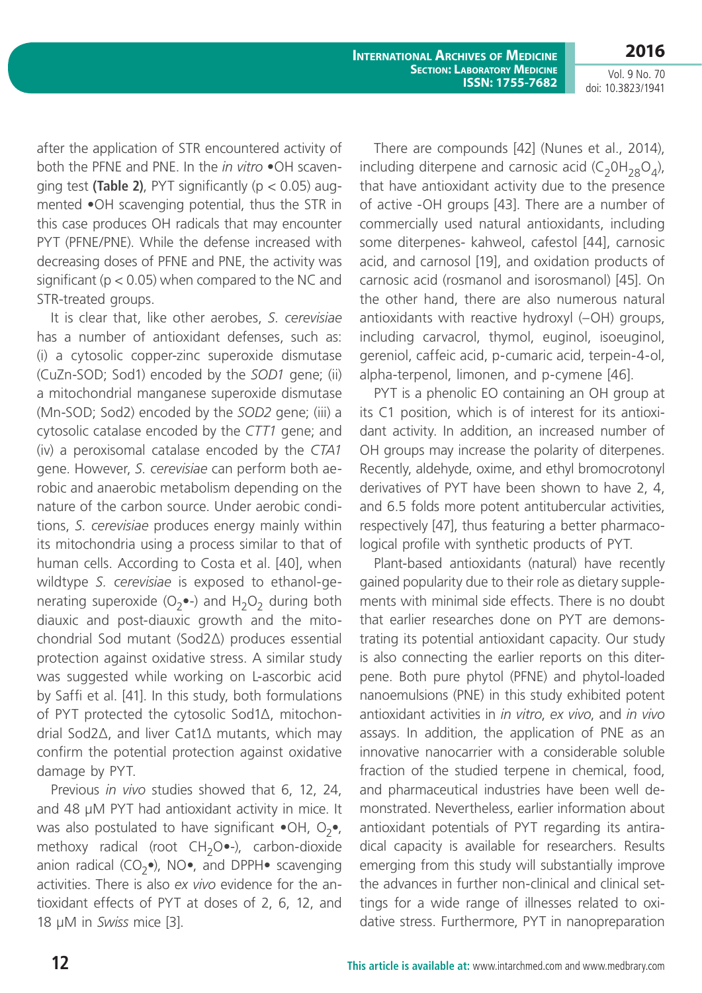**2016**

Vol. 9 No. 70 doi: 10.3823/1941

after the application of STR encountered activity of both the PFNE and PNE. In the *in vitro* •OH scavenging test **(Table 2)**, PYT significantly ( $p < 0.05$ ) augmented •OH scavenging potential, thus the STR in this case produces OH radicals that may encounter PYT (PFNE/PNE). While the defense increased with decreasing doses of PFNE and PNE, the activity was significant ( $p < 0.05$ ) when compared to the NC and STR-treated groups.

It is clear that, like other aerobes, *S. cerevisiae*  has a number of antioxidant defenses, such as: (i) a cytosolic copper-zinc superoxide dismutase (CuZn-SOD; Sod1) encoded by the *SOD1* gene; (ii) a mitochondrial manganese superoxide dismutase (Mn-SOD; Sod2) encoded by the *SOD2* gene; (iii) a cytosolic catalase encoded by the *CTT1* gene; and (iv) a peroxisomal catalase encoded by the *CTA1* gene. However, *S. cerevisiae* can perform both aerobic and anaerobic metabolism depending on the nature of the carbon source. Under aerobic conditions, *S. cerevisiae* produces energy mainly within its mitochondria using a process similar to that of human cells. According to Costa et al. [40], when wildtype *S. cerevisiae* is exposed to ethanol-generating superoxide ( $O_2$ •-) and  $H_2O_2$  during both diauxic and post-diauxic growth and the mitochondrial Sod mutant (Sod2∆) produces essential protection against oxidative stress. A similar study was suggested while working on L-ascorbic acid by Saffi et al. [41]. In this study, both formulations of PYT protected the cytosolic Sod1∆, mitochondrial Sod2∆, and liver Cat1∆ mutants, which may confirm the potential protection against oxidative damage by PYT.

Previous *in vivo* studies showed that 6, 12, 24, and 48 µM PYT had antioxidant activity in mice. It was also postulated to have significant  $\bullet$ OH, O<sub>2</sub> $\bullet$ , methoxy radical (root  $CH_2O$ •-), carbon-dioxide anion radical (CO<sub>2</sub>•), NO•, and DPPH• scavenging activities. There is also *ex vivo* evidence for the antioxidant effects of PYT at doses of 2, 6, 12, and 18 µM in *Swiss* mice [3].

There are compounds [42] (Nunes et al., 2014), including diterpene and carnosic acid (C<sub>2</sub>0H<sub>28</sub>O<sub>4</sub>), that have antioxidant activity due to the presence of active -OH groups [43]. There are a number of commercially used natural antioxidants, including some diterpenes- kahweol, cafestol [44], carnosic acid, and carnosol [19], and oxidation products of carnosic acid (rosmanol and isorosmanol) [45]. On the other hand, there are also numerous natural antioxidants with reactive hydroxyl (–OH) groups, including carvacrol, thymol, euginol, isoeuginol, gereniol, caffeic acid, p-cumaric acid, terpein-4-ol, alpha-terpenol, limonen, and p-cymene [46].

PYT is a phenolic EO containing an OH group at its C1 position, which is of interest for its antioxidant activity. In addition, an increased number of OH groups may increase the polarity of diterpenes. Recently, aldehyde, oxime, and ethyl bromocrotonyl derivatives of PYT have been shown to have 2, 4, and 6.5 folds more potent antitubercular activities, respectively [47], thus featuring a better pharmacological profile with synthetic products of PYT.

Plant-based antioxidants (natural) have recently gained popularity due to their role as dietary supplements with minimal side effects. There is no doubt that earlier researches done on PYT are demonstrating its potential antioxidant capacity. Our study is also connecting the earlier reports on this diterpene. Both pure phytol (PFNE) and phytol-loaded nanoemulsions (PNE) in this study exhibited potent antioxidant activities in *in vitro*, *ex vivo*, and *in vivo*  assays. In addition, the application of PNE as an innovative nanocarrier with a considerable soluble fraction of the studied terpene in chemical, food, and pharmaceutical industries have been well demonstrated. Nevertheless, earlier information about antioxidant potentials of PYT regarding its antiradical capacity is available for researchers. Results emerging from this study will substantially improve the advances in further non-clinical and clinical settings for a wide range of illnesses related to oxidative stress. Furthermore, PYT in nanopreparation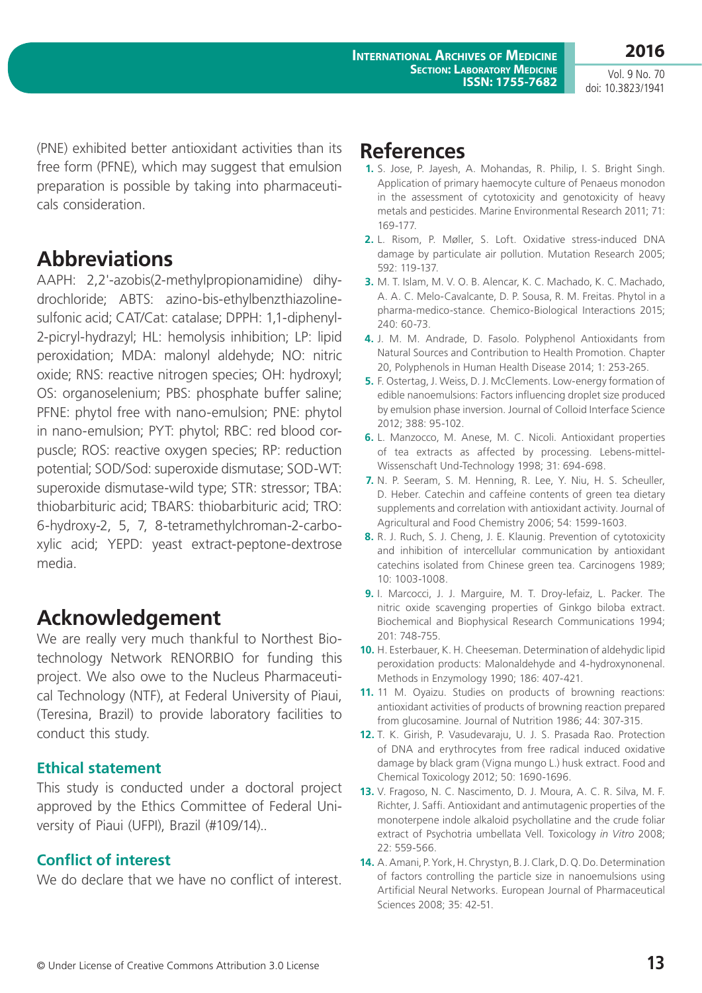**2016**

(PNE) exhibited better antioxidant activities than its free form (PFNE), which may suggest that emulsion preparation is possible by taking into pharmaceuticals consideration.

# **Abbreviations**

AAPH: 2,2'-azobis(2-methylpropionamidine) dihydrochloride; ABTS: azino-bis-ethylbenzthiazolinesulfonic acid; CAT/Cat: catalase; DPPH: 1,1-diphenyl-2-picryl-hydrazyl; HL: hemolysis inhibition; LP: lipid peroxidation; MDA: malonyl aldehyde; NO: nitric oxide; RNS: reactive nitrogen species; OH: hydroxyl; OS: organoselenium; PBS: phosphate buffer saline; PFNE: phytol free with nano-emulsion; PNE: phytol in nano-emulsion; PYT: phytol; RBC: red blood corpuscle; ROS: reactive oxygen species; RP: reduction potential; SOD/Sod: superoxide dismutase; SOD-WT: superoxide dismutase-wild type; STR: stressor; TBA: thiobarbituric acid; TBARS: thiobarbituric acid; TRO: 6-hydroxy-2, 5, 7, 8-tetramethylchroman-2-carboxylic acid; YEPD: yeast extract-peptone-dextrose media.

# **Acknowledgement**

We are really very much thankful to Northest Biotechnology Network RENORBIO for funding this project. We also owe to the Nucleus Pharmaceutical Technology (NTF), at Federal University of Piaui, (Teresina, Brazil) to provide laboratory facilities to conduct this study.

# **Ethical statement**

This study is conducted under a doctoral project approved by the Ethics Committee of Federal University of Piaui (UFPI), Brazil (#109/14)..

# **Conflict of interest**

We do declare that we have no conflict of interest.

# **References**

- **1.** S. Jose, P. Jayesh, A. Mohandas, R. Philip, I. S. Bright Singh. Application of primary haemocyte culture of Penaeus monodon in the assessment of cytotoxicity and genotoxicity of heavy metals and pesticides. Marine Environmental Research 2011; 71: 169-177.
- **2.** L. Risom, P. Møller, S. Loft. Oxidative stress-induced DNA damage by particulate air pollution. Mutation Research 2005; 592: 119-137.
- **3.** M. T. Islam, M. V. O. B. Alencar, K. C. Machado, K. C. Machado, A. A. C. Melo-Cavalcante, D. P. Sousa, R. M. Freitas. Phytol in a pharma-medico-stance. Chemico-Biological Interactions 2015; 240: 60-73.
- **4.** J. M. M. Andrade, D. Fasolo. Polyphenol Antioxidants from Natural Sources and Contribution to Health Promotion. Chapter 20, Polyphenols in Human Health Disease 2014; 1: 253-265.
- **5.** F. Ostertag, J. Weiss, D. J. McClements. Low-energy formation of edible nanoemulsions: Factors influencing droplet size produced by emulsion phase inversion. Journal of Colloid Interface Science 2012; 388: 95-102.
- **6.** L. Manzocco, M. Anese, M. C. Nicoli. Antioxidant properties of tea extracts as affected by processing. Lebens-mittel-Wissenschaft Und-Technology 1998; 31: 694-698.
- **7.** N. P. Seeram, S. M. Henning, R. Lee, Y. Niu, H. S. Scheuller, D. Heber. Catechin and caffeine contents of green tea dietary supplements and correlation with antioxidant activity. Journal of Agricultural and Food Chemistry 2006; 54: 1599-1603.
- **8.** R. J. Ruch, S. J. Cheng, J. E. Klaunig. Prevention of cytotoxicity and inhibition of intercellular communication by antioxidant catechins isolated from Chinese green tea. Carcinogens 1989; 10: 1003-1008.
- **9.** I. Marcocci, J. J. Marguire, M. T. Droy-lefaiz, L. Packer. The nitric oxide scavenging properties of Ginkgo biloba extract. Biochemical and Biophysical Research Communications 1994; 201: 748-755.
- **10.** H. Esterbauer, K. H. Cheeseman. Determination of aldehydic lipid peroxidation products: Malonaldehyde and 4-hydroxynonenal. Methods in Enzymology 1990; 186: 407-421.
- **11.** 11 M. Oyaizu. Studies on products of browning reactions: antioxidant activities of products of browning reaction prepared from glucosamine. Journal of Nutrition 1986; 44: 307-315.
- **12.** T. K. Girish, P. Vasudevaraju, U. J. S. Prasada Rao. Protection of DNA and erythrocytes from free radical induced oxidative damage by black gram (Vigna mungo L.) husk extract. Food and Chemical Toxicology 2012; 50: 1690-1696.
- **13.** V. Fragoso, N. C. Nascimento, D. J. Moura, A. C. R. Silva, M. F. Richter, J. Saffi. Antioxidant and antimutagenic properties of the monoterpene indole alkaloid psychollatine and the crude foliar extract of Psychotria umbellata Vell. Toxicology *in Vitro* 2008; 22: 559-566.
- **14.** A. Amani, P. York, H. Chrystyn, B. J. Clark, D. Q. Do. Determination of factors controlling the particle size in nanoemulsions using Artificial Neural Networks. European Journal of Pharmaceutical Sciences 2008; 35: 42-51.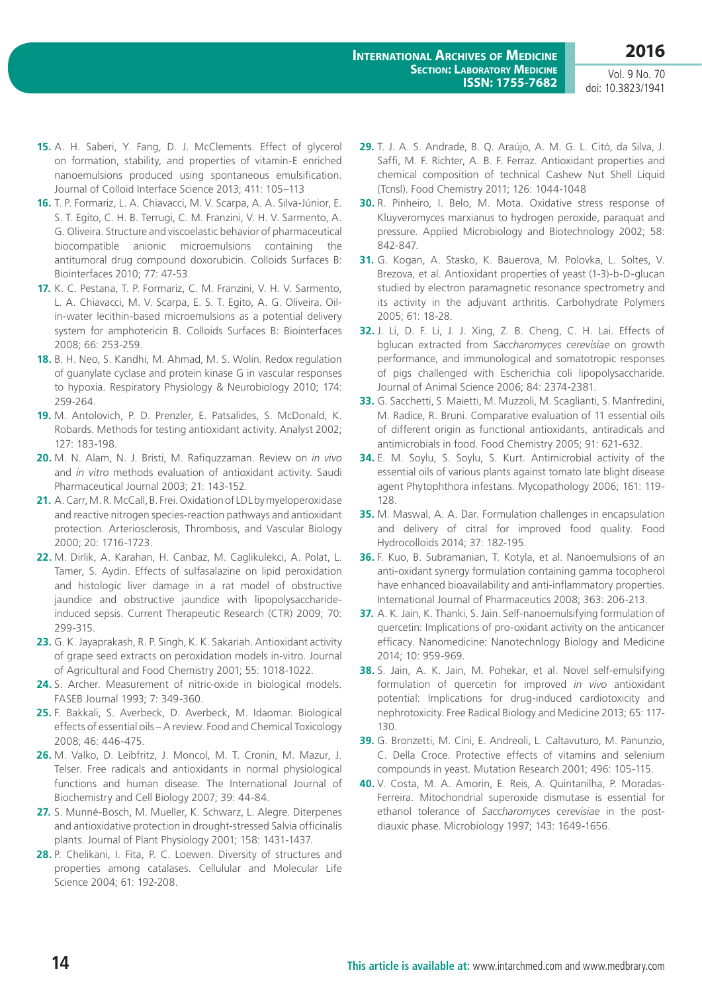- **15.** A. H. Saberi, Y. Fang, D. J. McClements. Effect of glycerol on formation, stability, and properties of vitamin-E enriched nanoemulsions produced using spontaneous emulsification. Journal of Colloid Interface Science 2013; 411: 105–113
- **16.** T. P. Formariz, L. A. Chiavacci, M. V. Scarpa, A. A. Silva-Júnior, E. S. T. Egito, C. H. B. Terrugi, C. M. Franzini, V. H. V. Sarmento, A. G. Oliveira. Structure and viscoelastic behavior of pharmaceutical biocompatible anionic microemulsions containing the antitumoral drug compound doxorubicin. Colloids Surfaces B: Biointerfaces 2010; 77: 47-53.
- **17.** K. C. Pestana, T. P. Formariz, C. M. Franzini, V. H. V. Sarmento, L. A. Chiavacci, M. V. Scarpa, E. S. T. Egito, A. G. Oliveira. Oilin-water lecithin-based microemulsions as a potential delivery system for amphotericin B. Colloids Surfaces B: Biointerfaces 2008; 66: 253-259.
- **18.** B. H. Neo, S. Kandhi, M. Ahmad, M. S. Wolin. Redox regulation of guanylate cyclase and protein kinase G in vascular responses to hypoxia. Respiratory Physiology & Neurobiology 2010; 174: 259-264.
- **19.** M. Antolovich, P. D. Prenzler, E. Patsalides, S. McDonald, K. Robards. Methods for testing antioxidant activity. Analyst 2002; 127: 183-198.
- **20.** M. N. Alam, N. J. Bristi, M. Rafiquzzaman. Review on *in vivo*  and *in vitro* methods evaluation of antioxidant activity. Saudi Pharmaceutical Journal 2003; 21: 143-152.
- **21.** A. Carr, M. R. McCall, B. Frei. Oxidation of LDL by myeloperoxidase and reactive nitrogen species-reaction pathways and antioxidant protection. Arteriosclerosis, Thrombosis, and Vascular Biology 2000; 20: 1716-1723.
- **22.** M. Dirlik, A. Karahan, H. Canbaz, M. Caglikulekci, A. Polat, L. Tamer, S. Aydin. Effects of sulfasalazine on lipid peroxidation and histologic liver damage in a rat model of obstructive jaundice and obstructive jaundice with lipopolysaccharideinduced sepsis. Current Therapeutic Research (CTR) 2009; 70: 299-315.
- **23.** G. K. Jayaprakash, R. P. Singh, K. K. Sakariah. Antioxidant activity of grape seed extracts on peroxidation models in-vitro. Journal of Agricultural and Food Chemistry 2001; 55: 1018-1022.
- **24.** S. Archer. Measurement of nitric-oxide in biological models. FASEB Journal 1993; 7: 349-360.
- **25.** F. Bakkali, S. Averbeck, D. Averbeck, M. Idaomar. Biological effects of essential oils – A review. Food and Chemical Toxicology 2008; 46: 446-475.
- **26.** M. Valko, D. Leibfritz, J. Moncol, M. T. Cronin, M. Mazur, J. Telser. Free radicals and antioxidants in normal physiological functions and human disease. The International Journal of Biochemistry and Cell Biology 2007; 39: 44-84.
- **27.** S. Munné-Bosch, M. Mueller, K. Schwarz, L. Alegre. Diterpenes and antioxidative protection in drought-stressed Salvia officinalis plants. Journal of Plant Physiology 2001; 158: 1431-1437.
- **28.** P. Chelikani, I. Fita, P. C. Loewen. Diversity of structures and properties among catalases. Cellulular and Molecular Life Science 2004; 61: 192-208.
- **29.** T. J. A. S. Andrade, B. Q. Araújo, A. M. G. L. Citó, da Silva, J. Saffi, M. F. Richter, A. B. F. Ferraz. Antioxidant properties and chemical composition of technical Cashew Nut Shell Liquid (Tcnsl). Food Chemistry 2011; 126: 1044-1048
- **30.** R. Pinheiro, I. Belo, M. Mota. Oxidative stress response of Kluyveromyces marxianus to hydrogen peroxide, paraquat and pressure. Applied Microbiology and Biotechnology 2002; 58: 842-847.
- **31.** G. Kogan, A. Stasko, K. Bauerova, M. Polovka, L. Soltes, V. Brezova, et al. Antioxidant properties of yeast (1-3)-b-D-glucan studied by electron paramagnetic resonance spectrometry and its activity in the adjuvant arthritis. Carbohydrate Polymers 2005; 61: 18-28.
- **32.** J. Li, D. F. Li, J. J. Xing, Z. B. Cheng, C. H. Lai. Effects of bglucan extracted from *Saccharomyces cerevisiae* on growth performance, and immunological and somatotropic responses of pigs challenged with Escherichia coli lipopolysaccharide. Journal of Animal Science 2006; 84: 2374-2381.
- **33.** G. Sacchetti, S. Maietti, M. Muzzoli, M. Scaglianti, S. Manfredini, M. Radice, R. Bruni. Comparative evaluation of 11 essential oils of different origin as functional antioxidants, antiradicals and antimicrobials in food. Food Chemistry 2005; 91: 621-632.
- **34.** E. M. Soylu, S. Soylu, S. Kurt. Antimicrobial activity of the essential oils of various plants against tomato late blight disease agent Phytophthora infestans. Mycopathology 2006; 161: 119- 128.
- **35.** M. Maswal, A. A. Dar. Formulation challenges in encapsulation and delivery of citral for improved food quality. Food Hydrocolloids 2014; 37: 182-195.
- **36.** F. Kuo, B. Subramanian, T. Kotyla, et al. Nanoemulsions of an anti-oxidant synergy formulation containing gamma tocopherol have enhanced bioavailability and anti-inflammatory properties. International Journal of Pharmaceutics 2008; 363: 206-213.
- **37.** A. K. Jain, K. Thanki, S. Jain. Self-nanoemulsifying formulation of quercetin: Implications of pro-oxidant activity on the anticancer efficacy. Nanomedicine: Nanotechnlogy Biology and Medicine 2014; 10: 959-969.
- **38.** S. Jain, A. K. Jain, M. Pohekar, et al. Novel self-emulsifying formulation of quercetin for improved *in vivo* antioxidant potential: Implications for drug-induced cardiotoxicity and nephrotoxicity. Free Radical Biology and Medicine 2013; 65: 117- 130.
- **39.** G. Bronzetti, M. Cini, E. Andreoli, L. Caltavuturo, M. Panunzio, C. Della Croce. Protective effects of vitamins and selenium compounds in yeast. Mutation Research 2001; 496: 105-115.
- **40.** V. Costa, M. A. Amorin, E. Reis, A. Quintanilha, P. Moradas-Ferreira. Mitochondrial superoxide dismutase is essential for ethanol tolerance of *Saccharomyces cerevisiae* in the postdiauxic phase. Microbiology 1997; 143: 1649-1656.